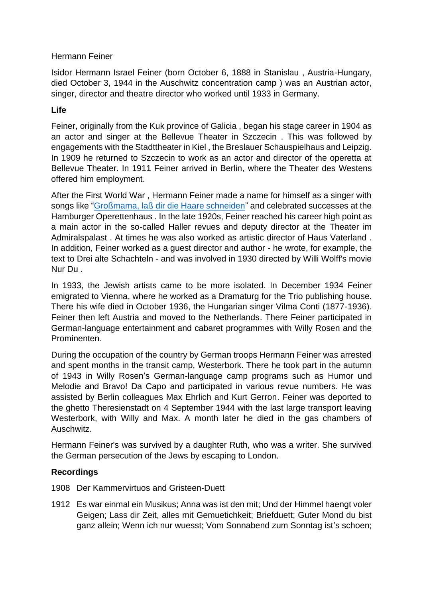## Hermann Feiner

Isidor Hermann Israel Feiner (born October 6, 1888 in Stanislau , Austria-Hungary, died October 3, 1944 in the Auschwitz concentration camp ) was an Austrian actor, singer, director and theatre director who worked until 1933 in Germany.

## **Life**

Feiner, originally from the Kuk province of Galicia , began his stage career in 1904 as an actor and singer at the Bellevue Theater in Szczecin . This was followed by engagements with the Stadttheater in Kiel , the Breslauer Schauspielhaus and Leipzig. In 1909 he returned to Szczecin to work as an actor and director of the operetta at Bellevue Theater. In 1911 Feiner arrived in Berlin, where the Theater des Westens offered him employment.

After the First World War , Hermann Feiner made a name for himself as a singer with songs like ["Großmama, laß dir die Haare schneiden"](https://youtu.be/Lh1vZ-nb52E) and celebrated successes at the Hamburger Operettenhaus . In the late 1920s, Feiner reached his career high point as a main actor in the so-called Haller revues and deputy director at the Theater im Admiralspalast . At times he was also worked as artistic director of Haus Vaterland . In addition, Feiner worked as a guest director and author - he wrote, for example, the text to Drei alte Schachteln - and was involved in 1930 directed by Willi Wolff's movie Nur Du .

In 1933, the Jewish artists came to be more isolated. In December 1934 Feiner emigrated to Vienna, where he worked as a Dramaturg for the Trio publishing house. There his wife died in October 1936, the Hungarian singer Vilma Conti (1877-1936). Feiner then left Austria and moved to the Netherlands. There Feiner participated in German-language entertainment and cabaret programmes with Willy Rosen and the Prominenten.

During the occupation of the country by German troops Hermann Feiner was arrested and spent months in the transit camp, Westerbork. There he took part in the autumn of 1943 in Willy Rosen's German-language camp programs such as Humor und Melodie and Bravo! Da Capo and participated in various revue numbers. He was assisted by Berlin colleagues Max Ehrlich and Kurt Gerron. Feiner was deported to the ghetto Theresienstadt on 4 September 1944 with the last large transport leaving Westerbork, with Willy and Max. A month later he died in the gas chambers of Auschwitz.

Hermann Feiner's was survived by a daughter Ruth, who was a writer. She survived the German persecution of the Jews by escaping to London.

## **Recordings**

- 1908 Der Kammervirtuos and Gristeen-Duett
- 1912 Es war einmal ein Musikus; Anna was ist den mit; Und der Himmel haengt voler Geigen; Lass dir Zeit, alles mit Gemuetichkeit; Briefduett; Guter Mond du bist ganz allein; Wenn ich nur wuesst; Vom Sonnabend zum Sonntag ist's schoen;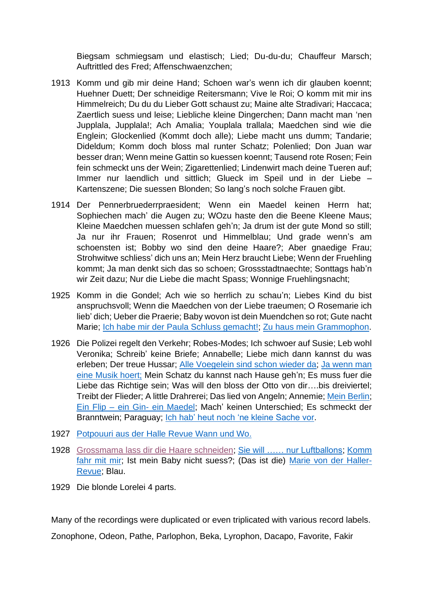Biegsam schmiegsam und elastisch; Lied; Du-du-du; Chauffeur Marsch; Auftrittled des Fred; Affenschwaenzchen;

- 1913 Komm und gib mir deine Hand; Schoen war's wenn ich dir glauben koennt; Huehner Duett; Der schneidige Reitersmann; Vive le Roi; O komm mit mir ins Himmelreich; Du du du Lieber Gott schaust zu; Maine alte Stradivari; Haccaca; Zaertlich suess und leise; Liebliche kleine Dingerchen; Dann macht man 'nen Jupplala, Jupplala!; Ach Amalia; Youplala trallala; Maedchen sind wie die Englein; Glockenlied (Kommt doch alle); Liebe macht uns dumm; Tandarie; Dideldum; Komm doch bloss mal runter Schatz; Polenlied; Don Juan war besser dran; Wenn meine Gattin so kuessen koennt; Tausend rote Rosen; Fein fein schmeckt uns der Wein; Zigarettenlied; Lindenwirt mach deine Tueren auf; Immer nur laendlich und sittlich; Glueck im Speil und in der Liebe – Kartenszene; Die suessen Blonden; So lang's noch solche Frauen gibt.
- 1914 Der Pennerbruederrpraesident; Wenn ein Maedel keinen Herrn hat; Sophiechen mach' die Augen zu; WOzu haste den die Beene Kleene Maus; Kleine Maedchen muessen schlafen geh'n; Ja drum ist der gute Mond so still; Ja nur ihr Frauen; Rosenrot und Himmelblau; Und grade wenn's am schoensten ist; Bobby wo sind den deine Haare?; Aber gnaedige Frau; Strohwitwe schliess' dich uns an; Mein Herz braucht Liebe; Wenn der Fruehling kommt; Ja man denkt sich das so schoen; Grossstadtnaechte; Sonttags hab'n wir Zeit dazu; Nur die Liebe die macht Spass; Wonnige Fruehlingsnacht;
- 1925 Komm in die Gondel; Ach wie so herrlich zu schau'n; Liebes Kind du bist anspruchsvoll; Wenn die Maedchen von der Liebe traeumen; O Rosemarie ich lieb' dich; Ueber die Praerie; Baby wovon ist dein Muendchen so rot; Gute nacht Marie; [Ich habe mir der Paula Schluss gemacht!;](https://youtu.be/oN7nRRdxQnk) [Zu haus mein Grammophon.](https://youtu.be/YxACO1cxzt0)
- 1926 Die Polizei regelt den Verkehr; Robes-Modes; Ich schwoer auf Susie; Leb wohl Veronika; Schreib' keine Briefe; Annabelle; Liebe mich dann kannst du was erleben; Der treue Hussar; [Alle Voegelein sind schon wieder da;](https://youtu.be/YPGt0D-kMRg) [Ja wenn man](https://youtu.be/11Q1C6QxtL8)  [eine Musik hoert;](https://youtu.be/11Q1C6QxtL8) Mein Schatz du kannst nach Hause geh'n; Es muss fuer die Liebe das Richtige sein; Was will den bloss der Otto von dir….bis dreiviertel; Treibt der Flieder; A little Drahrerei; Das lied von Angeln; Annemie; [Mein Berlin;](https://youtu.be/UMPmc5QuwSE) Ein Flip – ein Gin- [ein Maedel;](https://youtu.be/3c17BY9tGOs) Mach' keinen Unterschied; Es schmeckt der Branntwein; Paraguay; [Ich hab' heut noch 'ne kleine Sache vor.](https://youtu.be/tisu7rJ-CO4)
- 1927 [Potpouuri aus der Halle Revue](https://youtu.be/DexPlIqyDzw) Wann und Wo.
- 1928 [Grossmama lass dir die Haare schneiden;](https://youtu.be/Lh1vZ-nb52E) [Sie will …… nur Luftballons;](https://youtu.be/DmN8ij6j7iE) [Komm](https://youtu.be/3kpNstSN-x8)  [fahr mit mir;](https://youtu.be/3kpNstSN-x8) Ist mein Baby nicht suess?; (Das ist die) [Marie von der Haller-](https://youtu.be/eayCx2pDtWU)[Revue;](https://youtu.be/eayCx2pDtWU) Blau.
- 1929 Die blonde Lorelei 4 parts.

Many of the recordings were duplicated or even triplicated with various record labels.

Zonophone, Odeon, Pathe, Parlophon, Beka, Lyrophon, Dacapo, Favorite, Fakir